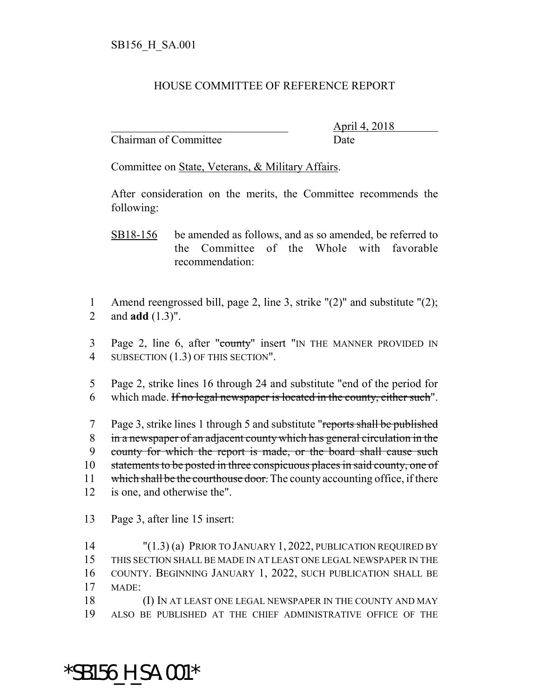## HOUSE COMMITTEE OF REFERENCE REPORT

Chairman of Committee Date

\_\_\_\_\_\_\_\_\_\_\_\_\_\_\_\_\_\_\_\_\_\_\_\_\_\_\_\_\_\_\_ April 4, 2018

Committee on State, Veterans, & Military Affairs.

After consideration on the merits, the Committee recommends the following:

- SB18-156 be amended as follows, and as so amended, be referred to the Committee of the Whole with favorable recommendation:
- 1 Amend reengrossed bill, page 2, line 3, strike "(2)" and substitute "(2); 2 and **add** (1.3)".
- 3 Page 2, line 6, after "county" insert "IN THE MANNER PROVIDED IN 4 SUBSECTION (1.3) OF THIS SECTION".
- 5 Page 2, strike lines 16 through 24 and substitute "end of the period for 6 which made. If no legal newspaper is located in the county, either such".
- 7 Page 3, strike lines 1 through 5 and substitute "reports shall be published 8 in a newspaper of an adjacent county which has general circulation in the 9 county for which the report is made, or the board shall cause such 10 statements to be posted in three conspicuous places in said county, one of 11 which shall be the courthouse door. The county accounting office, if there 12 is one, and otherwise the".
- 13 Page 3, after line 15 insert:
- 14 "(1.3) (a) PRIOR TO JANUARY 1, 2022, PUBLICATION REQUIRED BY 15 THIS SECTION SHALL BE MADE IN AT LEAST ONE LEGAL NEWSPAPER IN THE 16 COUNTY. BEGINNING JANUARY 1, 2022, SUCH PUBLICATION SHALL BE 17 MADE: 18 (I) IN AT LEAST ONE LEGAL NEWSPAPER IN THE COUNTY AND MAY
- 19 ALSO BE PUBLISHED AT THE CHIEF ADMINISTRATIVE OFFICE OF THE

\*SB156\_H\_SA.001\*